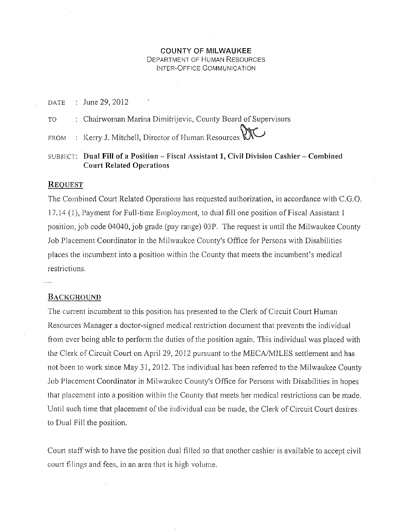### COUNTY OF MILWAUKEE DEPARTMENT OF HUMAN RESOURCES INTER-OFFICE COMMUNICATION

DATE June 29, 2012

TO Chairwoman Marina Dimitrijevic, County Board of Supervisors

FROM Kerry J. Mitchell, Director of Human Resources

SUBJECT: Dual Fill of a Position - Fiscal Assistant 1, Civil Division Cashier - Combined Court Related Operations

#### **REQUEST**

The Combined Court Related Operations has requested authorization, in accordance with C.G.O. 17.14 ( 1 ), Payment for Full-time Employment, to dual fill one position of Fiscal Assistant I position, job code 04040, job grade (pay range) 03P. The request is until the Milwaukee County Job Placement Coordinator in the Milwaukee County's Office for Persons with Disabilities places the incumbent into a position within the County that meets the incumbent's medical restrictions.

#### BACKGROUND

The current incumbent to this position has presented to the Clerk of Circuit Court Human Resources Manager a doctor-signed medical restriction document that prevents the individual from ever being able to perform the duties of the position again. This individual was placed with the Clerk of Circuit Court on April 29,2012 pursuant to the MECA/MILES settlement and has not been to work since May 31, 2012. The individual has been referred to the Milwaukee County Job Placement Coordinator in Milwaukee County's Office for Persons with Disabilities in hopes that placement into a position within the County that meets her medical restrictions can be made. Until such time that placement of the individual can be made, the Clerk of Circuit Court desires to Dual Fill the position.

Court staff wish to have the position dual filled so that another cashier is available to accept civil court filings and fees, in an area that is high volume.